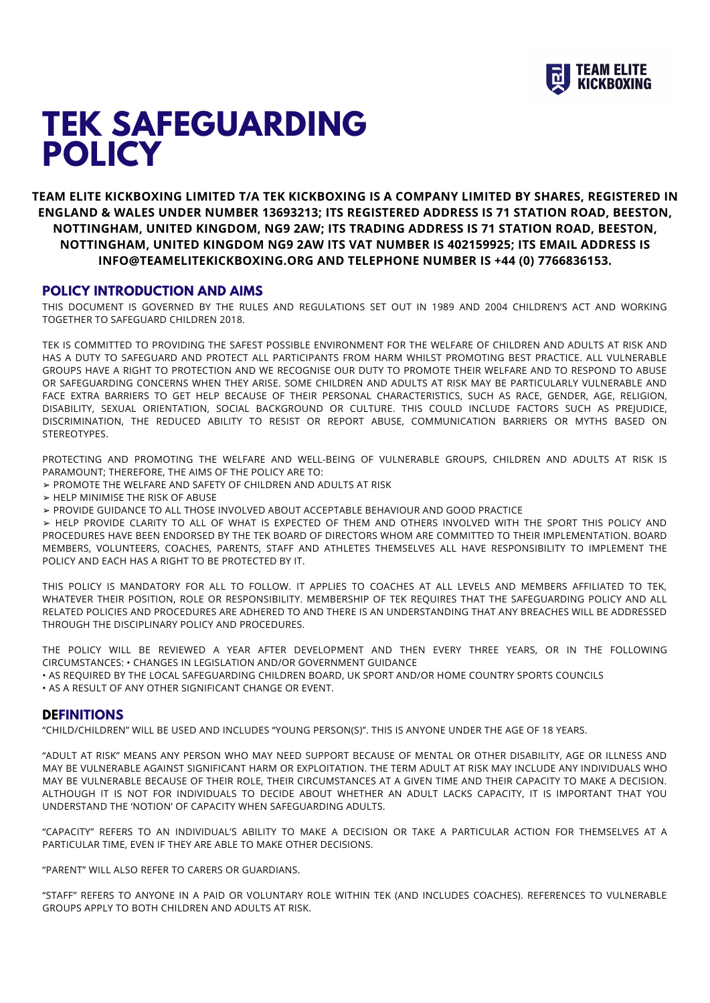

# **TEK SAFEGUARDING POLICY**

**TEAM ELITE KICKBOXING LIMITED T/A TEK KICKBOXING IS A COMPANY LIMITED BY SHARES, REGISTERED IN ENGLAND & WALES UNDER NUMBER 13693213; ITS REGISTERED ADDRESS IS 71 STATION ROAD, BEESTON, NOTTINGHAM, UNITED KINGDOM, NG9 2AW; ITS TRADING ADDRESS IS 71 STATION ROAD, BEESTON, NOTTINGHAM, UNITED KINGDOM NG9 2AW ITS VAT NUMBER IS 402159925; ITS EMAIL ADDRESS IS INFO@TEAMELITEKICKBOXING.ORG AND TELEPHONE NUMBER IS +44 (0) 7766836153.**

## **POLICY INTRODUCTION AND AIMS**

THIS DOCUMENT IS GOVERNED BY THE RULES AND REGULATIONS SET OUT IN 1989 AND 2004 CHILDREN'S ACT AND WORKING TOGETHER TO SAFEGUARD CHILDREN 2018.

TEK IS COMMITTED TO PROVIDING THE SAFEST POSSIBLE ENVIRONMENT FOR THE WELFARE OF CHILDREN AND ADULTS AT RISK AND HAS A DUTY TO SAFEGUARD AND PROTECT ALL PARTICIPANTS FROM HARM WHILST PROMOTING BEST PRACTICE. ALL VULNERABLE GROUPS HAVE A RIGHT TO PROTECTION AND WE RECOGNISE OUR DUTY TO PROMOTE THEIR WELFARE AND TO RESPOND TO ABUSE OR SAFEGUARDING CONCERNS WHEN THEY ARISE. SOME CHILDREN AND ADULTS AT RISK MAY BE PARTICULARLY VULNERABLE AND FACE EXTRA BARRIERS TO GET HELP BECAUSE OF THEIR PERSONAL CHARACTERISTICS, SUCH AS RACE, GENDER, AGE, RELIGION, DISABILITY, SEXUAL ORIENTATION, SOCIAL BACKGROUND OR CULTURE. THIS COULD INCLUDE FACTORS SUCH AS PREJUDICE, DISCRIMINATION, THE REDUCED ABILITY TO RESIST OR REPORT ABUSE, COMMUNICATION BARRIERS OR MYTHS BASED ON STEREOTYPES.

PROTECTING AND PROMOTING THE WELFARE AND WELL-BEING OF VULNERABLE GROUPS, CHILDREN AND ADULTS AT RISK IS PARAMOUNT; THEREFORE, THE AIMS OF THE POLICY ARE TO:

- ➢ PROMOTE THE WELFARE AND SAFETY OF CHILDREN AND ADULTS AT RISK
- ➢ HELP MINIMISE THE RISK OF ABUSE
- ➢ PROVIDE GUIDANCE TO ALL THOSE INVOLVED ABOUT ACCEPTABLE BEHAVIOUR AND GOOD PRACTICE

➢ HELP PROVIDE CLARITY TO ALL OF WHAT IS EXPECTED OF THEM AND OTHERS INVOLVED WITH THE SPORT THIS POLICY AND PROCEDURES HAVE BEEN ENDORSED BY THE TEK BOARD OF DIRECTORS WHOM ARE COMMITTED TO THEIR IMPLEMENTATION. BOARD MEMBERS, VOLUNTEERS, COACHES, PARENTS, STAFF AND ATHLETES THEMSELVES ALL HAVE RESPONSIBILITY TO IMPLEMENT THE POLICY AND EACH HAS A RIGHT TO BE PROTECTED BY IT.

THIS POLICY IS MANDATORY FOR ALL TO FOLLOW. IT APPLIES TO COACHES AT ALL LEVELS AND MEMBERS AFFILIATED TO TEK, WHATEVER THEIR POSITION, ROLE OR RESPONSIBILITY. MEMBERSHIP OF TEK REQUIRES THAT THE SAFEGUARDING POLICY AND ALL RELATED POLICIES AND PROCEDURES ARE ADHERED TO AND THERE IS AN UNDERSTANDING THAT ANY BREACHES WILL BE ADDRESSED THROUGH THE DISCIPLINARY POLICY AND PROCEDURES.

THE POLICY WILL BE REVIEWED A YEAR AFTER DEVELOPMENT AND THEN EVERY THREE YEARS, OR IN THE FOLLOWING CIRCUMSTANCES: • CHANGES IN LEGISLATION AND/OR GOVERNMENT GUIDANCE

• AS REQUIRED BY THE LOCAL SAFEGUARDING CHILDREN BOARD, UK SPORT AND/OR HOME COUNTRY SPORTS COUNCILS • AS A RESULT OF ANY OTHER SIGNIFICANT CHANGE OR EVENT.

## **DEFINITIONS**

"CHILD/CHILDREN" WILL BE USED AND INCLUDES "YOUNG PERSON(S)". THIS IS ANYONE UNDER THE AGE OF 18 YEARS.

"ADULT AT RISK" MEANS ANY PERSON WHO MAY NEED SUPPORT BECAUSE OF MENTAL OR OTHER DISABILITY, AGE OR ILLNESS AND MAY BE VULNERABLE AGAINST SIGNIFICANT HARM OR EXPLOITATION. THE TERM ADULT AT RISK MAY INCLUDE ANY INDIVIDUALS WHO MAY BE VULNERABLE BECAUSE OF THEIR ROLE, THEIR CIRCUMSTANCES AT A GIVEN TIME AND THEIR CAPACITY TO MAKE A DECISION. ALTHOUGH IT IS NOT FOR INDIVIDUALS TO DECIDE ABOUT WHETHER AN ADULT LACKS CAPACITY, IT IS IMPORTANT THAT YOU UNDERSTAND THE 'NOTION' OF CAPACITY WHEN SAFEGUARDING ADULTS.

"CAPACITY" REFERS TO AN INDIVIDUAL'S ABILITY TO MAKE A DECISION OR TAKE A PARTICULAR ACTION FOR THEMSELVES AT A PARTICULAR TIME, EVEN IF THEY ARE ABLE TO MAKE OTHER DECISIONS.

"PARENT" WILL ALSO REFER TO CARERS OR GUARDIANS.

"STAFF" REFERS TO ANYONE IN A PAID OR VOLUNTARY ROLE WITHIN TEK (AND INCLUDES COACHES). REFERENCES TO VULNERABLE GROUPS APPLY TO BOTH CHILDREN AND ADULTS AT RISK.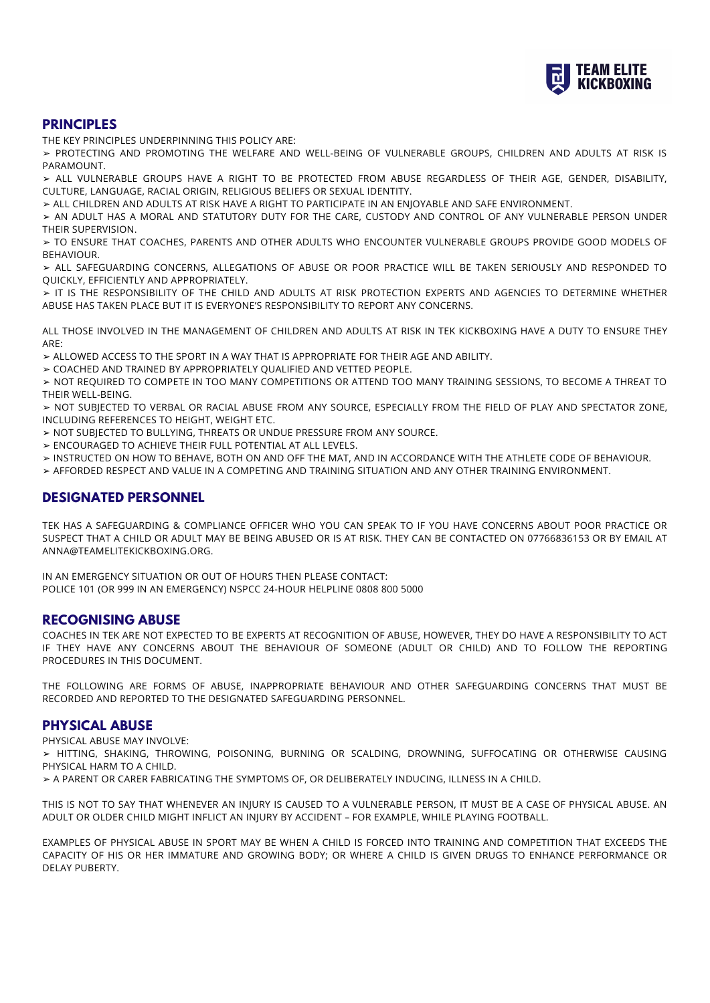

# **PRINCIPLES**

THE KEY PRINCIPLES UNDERPINNING THIS POLICY ARE:

➢ PROTECTING AND PROMOTING THE WELFARE AND WELL-BEING OF VULNERABLE GROUPS, CHILDREN AND ADULTS AT RISK IS PARAMOUNT.

➢ ALL VULNERABLE GROUPS HAVE A RIGHT TO BE PROTECTED FROM ABUSE REGARDLESS OF THEIR AGE, GENDER, DISABILITY, CULTURE, LANGUAGE, RACIAL ORIGIN, RELIGIOUS BELIEFS OR SEXUAL IDENTITY.

➢ ALL CHILDREN AND ADULTS AT RISK HAVE A RIGHT TO PARTICIPATE IN AN ENJOYABLE AND SAFE ENVIRONMENT.

➢ AN ADULT HAS A MORAL AND STATUTORY DUTY FOR THE CARE, CUSTODY AND CONTROL OF ANY VULNERABLE PERSON UNDER THEIR SUPERVISION.

➢ TO ENSURE THAT COACHES, PARENTS AND OTHER ADULTS WHO ENCOUNTER VULNERABLE GROUPS PROVIDE GOOD MODELS OF BEHAVIOUR.

➢ ALL SAFEGUARDING CONCERNS, ALLEGATIONS OF ABUSE OR POOR PRACTICE WILL BE TAKEN SERIOUSLY AND RESPONDED TO QUICKLY, EFFICIENTLY AND APPROPRIATELY.

➢ IT IS THE RESPONSIBILITY OF THE CHILD AND ADULTS AT RISK PROTECTION EXPERTS AND AGENCIES TO DETERMINE WHETHER ABUSE HAS TAKEN PLACE BUT IT IS EVERYONE'S RESPONSIBILITY TO REPORT ANY CONCERNS.

ALL THOSE INVOLVED IN THE MANAGEMENT OF CHILDREN AND ADULTS AT RISK IN TEK KICKBOXING HAVE A DUTY TO ENSURE THEY ARE:

➢ ALLOWED ACCESS TO THE SPORT IN A WAY THAT IS APPROPRIATE FOR THEIR AGE AND ABILITY.

➢ COACHED AND TRAINED BY APPROPRIATELY QUALIFIED AND VETTED PEOPLE.

➢ NOT REQUIRED TO COMPETE IN TOO MANY COMPETITIONS OR ATTEND TOO MANY TRAINING SESSIONS, TO BECOME A THREAT TO THEIR WELL-BEING.

➢ NOT SUBJECTED TO VERBAL OR RACIAL ABUSE FROM ANY SOURCE, ESPECIALLY FROM THE FIELD OF PLAY AND SPECTATOR ZONE, INCLUDING REFERENCES TO HEIGHT, WEIGHT ETC.

➢ NOT SUBJECTED TO BULLYING, THREATS OR UNDUE PRESSURE FROM ANY SOURCE.

➢ ENCOURAGED TO ACHIEVE THEIR FULL POTENTIAL AT ALL LEVELS.

➢ INSTRUCTED ON HOW TO BEHAVE, BOTH ON AND OFF THE MAT, AND IN ACCORDANCE WITH THE ATHLETE CODE OF BEHAVIOUR.

➢ AFFORDED RESPECT AND VALUE IN A COMPETING AND TRAINING SITUATION AND ANY OTHER TRAINING ENVIRONMENT.

# **DESIGNATED PERSONNEL**

TEK HAS A SAFEGUARDING & COMPLIANCE OFFICER WHO YOU CAN SPEAK TO IF YOU HAVE CONCERNS ABOUT POOR PRACTICE OR SUSPECT THAT A CHILD OR ADULT MAY BE BEING ABUSED OR IS AT RISK. THEY CAN BE CONTACTED ON 07766836153 OR BY EMAIL AT ANNA@TEAMELITEKICKBOXING.ORG.

IN AN EMERGENCY SITUATION OR OUT OF HOURS THEN PLEASE CONTACT: POLICE 101 (OR 999 IN AN EMERGENCY) NSPCC 24-HOUR HELPLINE 0808 800 5000

# **RECOGNISING ABUSE**

COACHES IN TEK ARE NOT EXPECTED TO BE EXPERTS AT RECOGNITION OF ABUSE, HOWEVER, THEY DO HAVE A RESPONSIBILITY TO ACT IF THEY HAVE ANY CONCERNS ABOUT THE BEHAVIOUR OF SOMEONE (ADULT OR CHILD) AND TO FOLLOW THE REPORTING PROCEDURES IN THIS DOCUMENT.

THE FOLLOWING ARE FORMS OF ABUSE, INAPPROPRIATE BEHAVIOUR AND OTHER SAFEGUARDING CONCERNS THAT MUST BE RECORDED AND REPORTED TO THE DESIGNATED SAFEGUARDING PERSONNEL.

## **PHYSICAL ABUSE**

PHYSICAL ABUSE MAY INVOLVE:

➢ HITTING, SHAKING, THROWING, POISONING, BURNING OR SCALDING, DROWNING, SUFFOCATING OR OTHERWISE CAUSING PHYSICAL HARM TO A CHILD.

➢ A PARENT OR CARER FABRICATING THE SYMPTOMS OF, OR DELIBERATELY INDUCING, ILLNESS IN A CHILD.

THIS IS NOT TO SAY THAT WHENEVER AN INJURY IS CAUSED TO A VULNERABLE PERSON, IT MUST BE A CASE OF PHYSICAL ABUSE. AN ADULT OR OLDER CHILD MIGHT INFLICT AN INJURY BY ACCIDENT – FOR EXAMPLE, WHILE PLAYING FOOTBALL.

EXAMPLES OF PHYSICAL ABUSE IN SPORT MAY BE WHEN A CHILD IS FORCED INTO TRAINING AND COMPETITION THAT EXCEEDS THE CAPACITY OF HIS OR HER IMMATURE AND GROWING BODY; OR WHERE A CHILD IS GIVEN DRUGS TO ENHANCE PERFORMANCE OR DELAY PUBERTY.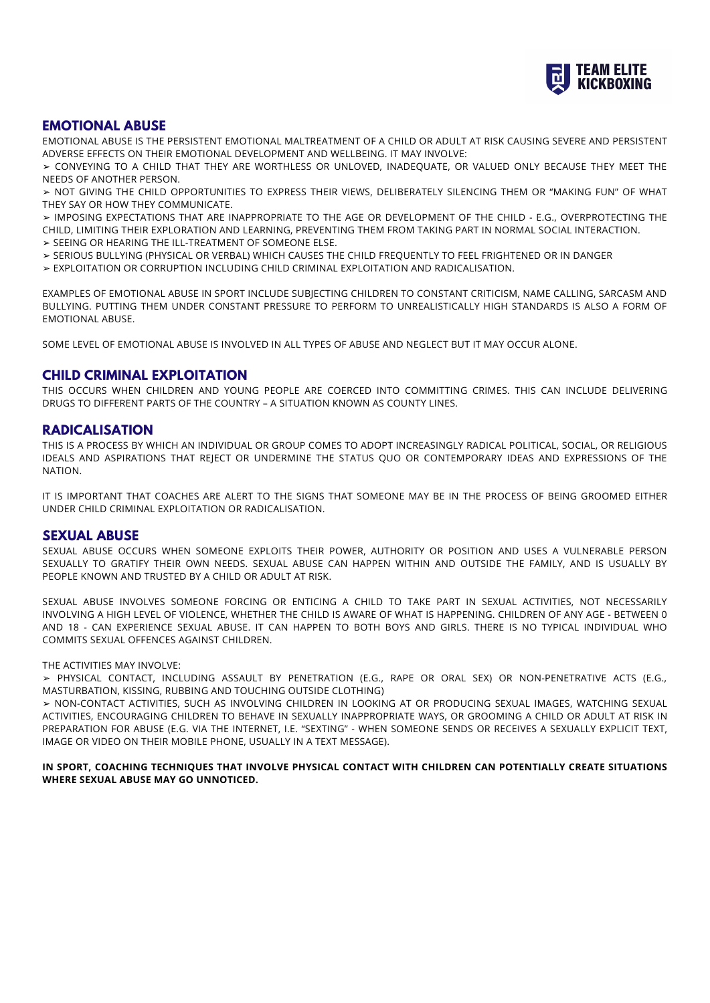

# **EMOTIONAL ABUSE**

EMOTIONAL ABUSE IS THE PERSISTENT EMOTIONAL MALTREATMENT OF A CHILD OR ADULT AT RISK CAUSING SEVERE AND PERSISTENT ADVERSE EFFECTS ON THEIR EMOTIONAL DEVELOPMENT AND WELLBEING. IT MAY INVOLVE:

➢ CONVEYING TO A CHILD THAT THEY ARE WORTHLESS OR UNLOVED, INADEQUATE, OR VALUED ONLY BECAUSE THEY MEET THE NEEDS OF ANOTHER PERSON.

➢ NOT GIVING THE CHILD OPPORTUNITIES TO EXPRESS THEIR VIEWS, DELIBERATELY SILENCING THEM OR "MAKING FUN" OF WHAT THEY SAY OR HOW THEY COMMUNICATE.

➢ IMPOSING EXPECTATIONS THAT ARE INAPPROPRIATE TO THE AGE OR DEVELOPMENT OF THE CHILD - E.G., OVERPROTECTING THE CHILD, LIMITING THEIR EXPLORATION AND LEARNING, PREVENTING THEM FROM TAKING PART IN NORMAL SOCIAL INTERACTION.

- ➢ SEEING OR HEARING THE ILL-TREATMENT OF SOMEONE ELSE.
- ➢ SERIOUS BULLYING (PHYSICAL OR VERBAL) WHICH CAUSES THE CHILD FREQUENTLY TO FEEL FRIGHTENED OR IN DANGER

➢ EXPLOITATION OR CORRUPTION INCLUDING CHILD CRIMINAL EXPLOITATION AND RADICALISATION.

EXAMPLES OF EMOTIONAL ABUSE IN SPORT INCLUDE SUBJECTING CHILDREN TO CONSTANT CRITICISM, NAME CALLING, SARCASM AND BULLYING. PUTTING THEM UNDER CONSTANT PRESSURE TO PERFORM TO UNREALISTICALLY HIGH STANDARDS IS ALSO A FORM OF EMOTIONAL ABUSE.

SOME LEVEL OF EMOTIONAL ABUSE IS INVOLVED IN ALL TYPES OF ABUSE AND NEGLECT BUT IT MAY OCCUR ALONE.

## **CHILD CRIMINAL EXPLOITATION**

THIS OCCURS WHEN CHILDREN AND YOUNG PEOPLE ARE COERCED INTO COMMITTING CRIMES. THIS CAN INCLUDE DELIVERING DRUGS TO DIFFERENT PARTS OF THE COUNTRY – A SITUATION KNOWN AS COUNTY LINES.

## **RADICALISATION**

THIS IS A PROCESS BY WHICH AN INDIVIDUAL OR GROUP COMES TO ADOPT INCREASINGLY RADICAL POLITICAL, SOCIAL, OR RELIGIOUS IDEALS AND ASPIRATIONS THAT REJECT OR UNDERMINE THE STATUS QUO OR CONTEMPORARY IDEAS AND EXPRESSIONS OF THE NATION.

IT IS IMPORTANT THAT COACHES ARE ALERT TO THE SIGNS THAT SOMEONE MAY BE IN THE PROCESS OF BEING GROOMED EITHER UNDER CHILD CRIMINAL EXPLOITATION OR RADICALISATION.

## **SEXUAL ABUSE**

SEXUAL ABUSE OCCURS WHEN SOMEONE EXPLOITS THEIR POWER, AUTHORITY OR POSITION AND USES A VULNERABLE PERSON SEXUALLY TO GRATIFY THEIR OWN NEEDS. SEXUAL ABUSE CAN HAPPEN WITHIN AND OUTSIDE THE FAMILY, AND IS USUALLY BY PEOPLE KNOWN AND TRUSTED BY A CHILD OR ADULT AT RISK.

SEXUAL ABUSE INVOLVES SOMEONE FORCING OR ENTICING A CHILD TO TAKE PART IN SEXUAL ACTIVITIES, NOT NECESSARILY INVOLVING A HIGH LEVEL OF VIOLENCE, WHETHER THE CHILD IS AWARE OF WHAT IS HAPPENING. CHILDREN OF ANY AGE - BETWEEN 0 AND 18 - CAN EXPERIENCE SEXUAL ABUSE. IT CAN HAPPEN TO BOTH BOYS AND GIRLS. THERE IS NO TYPICAL INDIVIDUAL WHO COMMITS SEXUAL OFFENCES AGAINST CHILDREN.

#### THE ACTIVITIES MAY INVOLVE:

➢ PHYSICAL CONTACT, INCLUDING ASSAULT BY PENETRATION (E.G., RAPE OR ORAL SEX) OR NON-PENETRATIVE ACTS (E.G., MASTURBATION, KISSING, RUBBING AND TOUCHING OUTSIDE CLOTHING)

➢ NON-CONTACT ACTIVITIES, SUCH AS INVOLVING CHILDREN IN LOOKING AT OR PRODUCING SEXUAL IMAGES, WATCHING SEXUAL ACTIVITIES, ENCOURAGING CHILDREN TO BEHAVE IN SEXUALLY INAPPROPRIATE WAYS, OR GROOMING A CHILD OR ADULT AT RISK IN PREPARATION FOR ABUSE (E.G. VIA THE INTERNET, I.E. "SEXTING" - WHEN SOMEONE SENDS OR RECEIVES A SEXUALLY EXPLICIT TEXT, IMAGE OR VIDEO ON THEIR MOBILE PHONE, USUALLY IN A TEXT MESSAGE).

**IN SPORT, COACHING TECHNIQUES THAT INVOLVE PHYSICAL CONTACT WITH CHILDREN CAN POTENTIALLY CREATE SITUATIONS WHERE SEXUAL ABUSE MAY GO UNNOTICED.**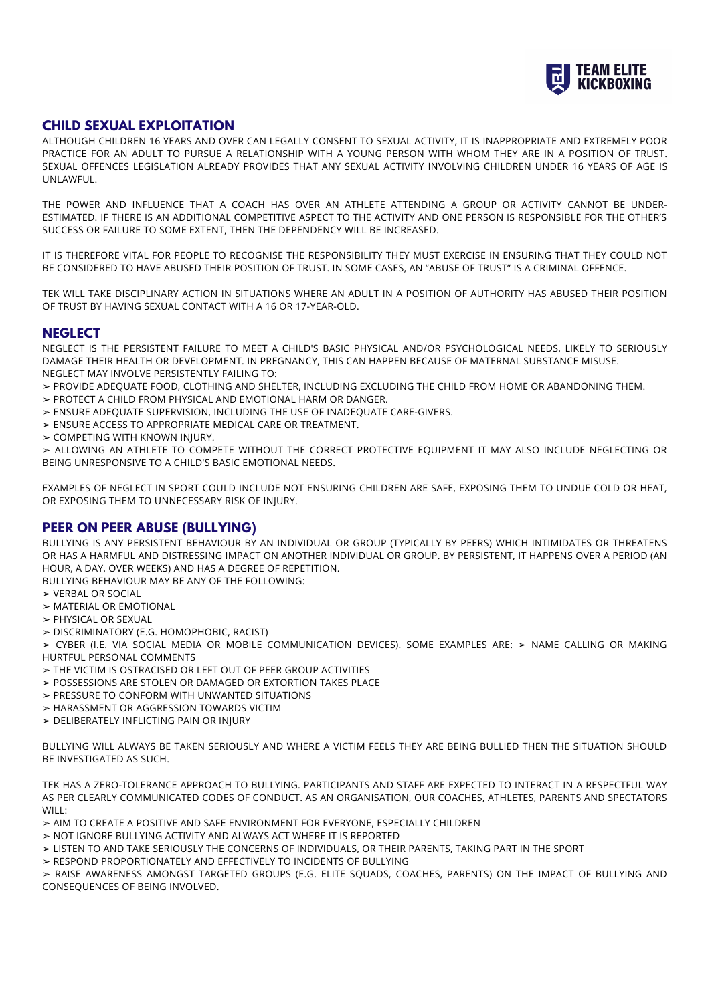

# **CHILD SEXUAL EXPLOITATION**

ALTHOUGH CHILDREN 16 YEARS AND OVER CAN LEGALLY CONSENT TO SEXUAL ACTIVITY, IT IS INAPPROPRIATE AND EXTREMELY POOR PRACTICE FOR AN ADULT TO PURSUE A RELATIONSHIP WITH A YOUNG PERSON WITH WHOM THEY ARE IN A POSITION OF TRUST. SEXUAL OFFENCES LEGISLATION ALREADY PROVIDES THAT ANY SEXUAL ACTIVITY INVOLVING CHILDREN UNDER 16 YEARS OF AGE IS UNLAWFUL.

THE POWER AND INFLUENCE THAT A COACH HAS OVER AN ATHLETE ATTENDING A GROUP OR ACTIVITY CANNOT BE UNDER-ESTIMATED. IF THERE IS AN ADDITIONAL COMPETITIVE ASPECT TO THE ACTIVITY AND ONE PERSON IS RESPONSIBLE FOR THE OTHER'S SUCCESS OR FAILURE TO SOME EXTENT, THEN THE DEPENDENCY WILL BE INCREASED.

IT IS THEREFORE VITAL FOR PEOPLE TO RECOGNISE THE RESPONSIBILITY THEY MUST EXERCISE IN ENSURING THAT THEY COULD NOT BE CONSIDERED TO HAVE ABUSED THEIR POSITION OF TRUST. IN SOME CASES, AN "ABUSE OF TRUST" IS A CRIMINAL OFFENCE.

TEK WILL TAKE DISCIPLINARY ACTION IN SITUATIONS WHERE AN ADULT IN A POSITION OF AUTHORITY HAS ABUSED THEIR POSITION OF TRUST BY HAVING SEXUAL CONTACT WITH A 16 OR 17-YEAR-OLD.

# **NEGLECT**

NEGLECT IS THE PERSISTENT FAILURE TO MEET A CHILD'S BASIC PHYSICAL AND/OR PSYCHOLOGICAL NEEDS, LIKELY TO SERIOUSLY DAMAGE THEIR HEALTH OR DEVELOPMENT. IN PREGNANCY, THIS CAN HAPPEN BECAUSE OF MATERNAL SUBSTANCE MISUSE. NEGLECT MAY INVOLVE PERSISTENTLY FAILING TO:

➢ PROVIDE ADEQUATE FOOD, CLOTHING AND SHELTER, INCLUDING EXCLUDING THE CHILD FROM HOME OR ABANDONING THEM.

- ➢ PROTECT A CHILD FROM PHYSICAL AND EMOTIONAL HARM OR DANGER.
- ➢ ENSURE ADEQUATE SUPERVISION, INCLUDING THE USE OF INADEQUATE CARE-GIVERS.
- ➢ ENSURE ACCESS TO APPROPRIATE MEDICAL CARE OR TREATMENT.
- ➢ COMPETING WITH KNOWN INJURY.

➢ ALLOWING AN ATHLETE TO COMPETE WITHOUT THE CORRECT PROTECTIVE EQUIPMENT IT MAY ALSO INCLUDE NEGLECTING OR BEING UNRESPONSIVE TO A CHILD'S BASIC EMOTIONAL NEEDS.

EXAMPLES OF NEGLECT IN SPORT COULD INCLUDE NOT ENSURING CHILDREN ARE SAFE, EXPOSING THEM TO UNDUE COLD OR HEAT, OR EXPOSING THEM TO UNNECESSARY RISK OF INJURY.

# **PEER ON PEER ABUSE (BULLYING)**

BULLYING IS ANY PERSISTENT BEHAVIOUR BY AN INDIVIDUAL OR GROUP (TYPICALLY BY PEERS) WHICH INTIMIDATES OR THREATENS OR HAS A HARMFUL AND DISTRESSING IMPACT ON ANOTHER INDIVIDUAL OR GROUP. BY PERSISTENT, IT HAPPENS OVER A PERIOD (AN HOUR, A DAY, OVER WEEKS) AND HAS A DEGREE OF REPETITION.

BULLYING BEHAVIOUR MAY BE ANY OF THE FOLLOWING:

- ➢ VERBAL OR SOCIAL
- ➢ MATERIAL OR EMOTIONAL
- ➢ PHYSICAL OR SEXUAL
- ➢ DISCRIMINATORY (E.G. HOMOPHOBIC, RACIST)

➢ CYBER (I.E. VIA SOCIAL MEDIA OR MOBILE COMMUNICATION DEVICES). SOME EXAMPLES ARE: ➢ NAME CALLING OR MAKING HURTFUL PERSONAL COMMENTS

- ➢ THE VICTIM IS OSTRACISED OR LEFT OUT OF PEER GROUP ACTIVITIES
- ➢ POSSESSIONS ARE STOLEN OR DAMAGED OR EXTORTION TAKES PLACE
- ➢ PRESSURE TO CONFORM WITH UNWANTED SITUATIONS
- ➢ HARASSMENT OR AGGRESSION TOWARDS VICTIM
- ➢ DELIBERATELY INFLICTING PAIN OR INJURY

BULLYING WILL ALWAYS BE TAKEN SERIOUSLY AND WHERE A VICTIM FEELS THEY ARE BEING BULLIED THEN THE SITUATION SHOULD BE INVESTIGATED AS SUCH.

TEK HAS A ZERO-TOLERANCE APPROACH TO BULLYING. PARTICIPANTS AND STAFF ARE EXPECTED TO INTERACT IN A RESPECTFUL WAY AS PER CLEARLY COMMUNICATED CODES OF CONDUCT. AS AN ORGANISATION, OUR COACHES, ATHLETES, PARENTS AND SPECTATORS WILL:

➢ AIM TO CREATE A POSITIVE AND SAFE ENVIRONMENT FOR EVERYONE, ESPECIALLY CHILDREN

➢ NOT IGNORE BULLYING ACTIVITY AND ALWAYS ACT WHERE IT IS REPORTED

- ➢ LISTEN TO AND TAKE SERIOUSLY THE CONCERNS OF INDIVIDUALS, OR THEIR PARENTS, TAKING PART IN THE SPORT
- ➢ RESPOND PROPORTIONATELY AND EFFECTIVELY TO INCIDENTS OF BULLYING

➢ RAISE AWARENESS AMONGST TARGETED GROUPS (E.G. ELITE SQUADS, COACHES, PARENTS) ON THE IMPACT OF BULLYING AND CONSEQUENCES OF BEING INVOLVED.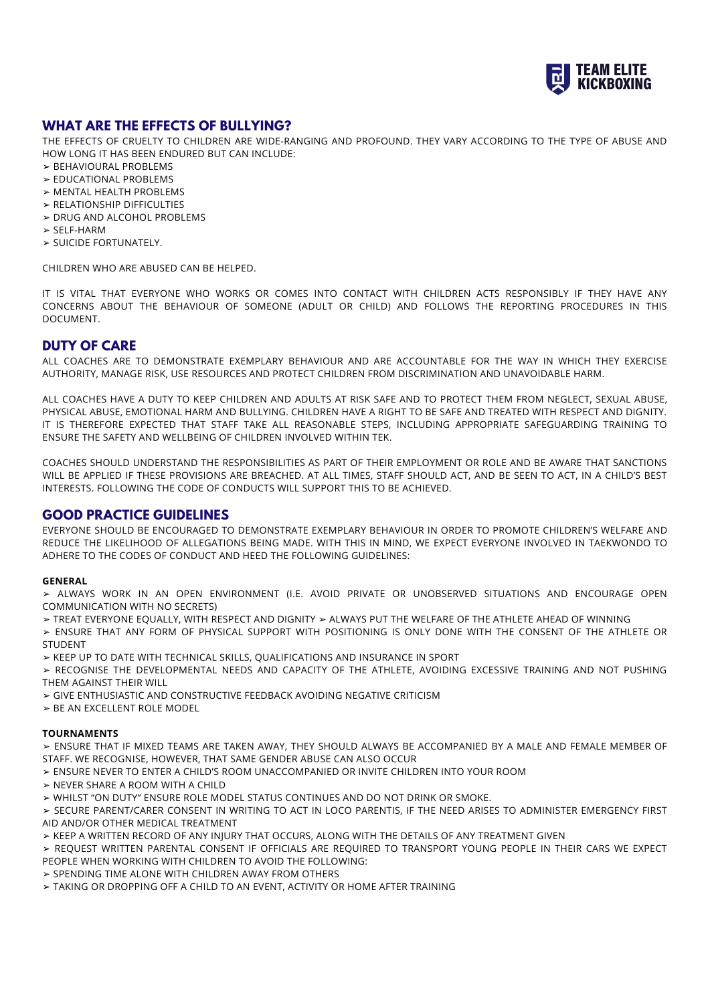

# **WHAT ARE THE EFFECTS OF BULLYING?**

THE EFFECTS OF CRUELTY TO CHILDREN ARE WIDE-RANGING AND PROFOUND. THEY VARY ACCORDING TO THE TYPE OF ABUSE AND HOW LONG IT HAS BEEN ENDURED BUT CAN INCLUDE:

- ➢ BEHAVIOURAL PROBLEMS
- ➢ EDUCATIONAL PROBLEMS
- ➢ MENTAL HEALTH PROBLEMS
- ➢ RELATIONSHIP DIFFICULTIES
- ➢ DRUG AND ALCOHOL PROBLEMS
- ➢ SELF-HARM
- ➢ SUICIDE FORTUNATELY.

CHILDREN WHO ARE ABUSED CAN BE HELPED.

IT IS VITAL THAT EVERYONE WHO WORKS OR COMES INTO CONTACT WITH CHILDREN ACTS RESPONSIBLY IF THEY HAVE ANY CONCERNS ABOUT THE BEHAVIOUR OF SOMEONE (ADULT OR CHILD) AND FOLLOWS THE REPORTING PROCEDURES IN THIS DOCUMENT.

## **DUTY OF CARE**

ALL COACHES ARE TO DEMONSTRATE EXEMPLARY BEHAVIOUR AND ARE ACCOUNTABLE FOR THE WAY IN WHICH THEY EXERCISE AUTHORITY, MANAGE RISK, USE RESOURCES AND PROTECT CHILDREN FROM DISCRIMINATION AND UNAVOIDABLE HARM.

ALL COACHES HAVE A DUTY TO KEEP CHILDREN AND ADULTS AT RISK SAFE AND TO PROTECT THEM FROM NEGLECT, SEXUAL ABUSE, PHYSICAL ABUSE, EMOTIONAL HARM AND BULLYING. CHILDREN HAVE A RIGHT TO BE SAFE AND TREATED WITH RESPECT AND DIGNITY. IT IS THEREFORE EXPECTED THAT STAFF TAKE ALL REASONABLE STEPS, INCLUDING APPROPRIATE SAFEGUARDING TRAINING TO ENSURE THE SAFETY AND WELLBEING OF CHILDREN INVOLVED WITHIN TEK.

COACHES SHOULD UNDERSTAND THE RESPONSIBILITIES AS PART OF THEIR EMPLOYMENT OR ROLE AND BE AWARE THAT SANCTIONS WILL BE APPLIED IF THESE PROVISIONS ARE BREACHED. AT ALL TIMES, STAFF SHOULD ACT, AND BE SEEN TO ACT, IN A CHILD'S BEST INTERESTS. FOLLOWING THE CODE OF CONDUCTS WILL SUPPORT THIS TO BE ACHIEVED.

# **GOOD PRACTICE GUIDELINES**

EVERYONE SHOULD BE ENCOURAGED TO DEMONSTRATE EXEMPLARY BEHAVIOUR IN ORDER TO PROMOTE CHILDREN'S WELFARE AND REDUCE THE LIKELIHOOD OF ALLEGATIONS BEING MADE. WITH THIS IN MIND, WE EXPECT EVERYONE INVOLVED IN TAEKWONDO TO ADHERE TO THE CODES OF CONDUCT AND HEED THE FOLLOWING GUIDELINES:

#### **GENERAL**

➢ ALWAYS WORK IN AN OPEN ENVIRONMENT (I.E. AVOID PRIVATE OR UNOBSERVED SITUATIONS AND ENCOURAGE OPEN COMMUNICATION WITH NO SECRETS)

➢ TREAT EVERYONE EQUALLY, WITH RESPECT AND DIGNITY ➢ ALWAYS PUT THE WELFARE OF THE ATHLETE AHEAD OF WINNING

➢ ENSURE THAT ANY FORM OF PHYSICAL SUPPORT WITH POSITIONING IS ONLY DONE WITH THE CONSENT OF THE ATHLETE OR STUDENT

➢ KEEP UP TO DATE WITH TECHNICAL SKILLS, QUALIFICATIONS AND INSURANCE IN SPORT

➢ RECOGNISE THE DEVELOPMENTAL NEEDS AND CAPACITY OF THE ATHLETE, AVOIDING EXCESSIVE TRAINING AND NOT PUSHING THEM AGAINST THEIR WILL

- ➢ GIVE ENTHUSIASTIC AND CONSTRUCTIVE FEEDBACK AVOIDING NEGATIVE CRITICISM
- ➢ BE AN EXCELLENT ROLE MODEL

#### **TOURNAMENTS**

➢ ENSURE THAT IF MIXED TEAMS ARE TAKEN AWAY, THEY SHOULD ALWAYS BE ACCOMPANIED BY A MALE AND FEMALE MEMBER OF STAFF. WE RECOGNISE, HOWEVER, THAT SAME GENDER ABUSE CAN ALSO OCCUR

- ➢ ENSURE NEVER TO ENTER A CHILD'S ROOM UNACCOMPANIED OR INVITE CHILDREN INTO YOUR ROOM
- ➢ NEVER SHARE A ROOM WITH A CHILD

➢ WHILST "ON DUTY" ENSURE ROLE MODEL STATUS CONTINUES AND DO NOT DRINK OR SMOKE.

➢ SECURE PARENT/CARER CONSENT IN WRITING TO ACT IN LOCO PARENTIS, IF THE NEED ARISES TO ADMINISTER EMERGENCY FIRST AID AND/OR OTHER MEDICAL TREATMENT

➢ KEEP A WRITTEN RECORD OF ANY INJURY THAT OCCURS, ALONG WITH THE DETAILS OF ANY TREATMENT GIVEN

➢ REQUEST WRITTEN PARENTAL CONSENT IF OFFICIALS ARE REQUIRED TO TRANSPORT YOUNG PEOPLE IN THEIR CARS WE EXPECT PEOPLE WHEN WORKING WITH CHILDREN TO AVOID THE FOLLOWING:

➢ SPENDING TIME ALONE WITH CHILDREN AWAY FROM OTHERS

➢ TAKING OR DROPPING OFF A CHILD TO AN EVENT, ACTIVITY OR HOME AFTER TRAINING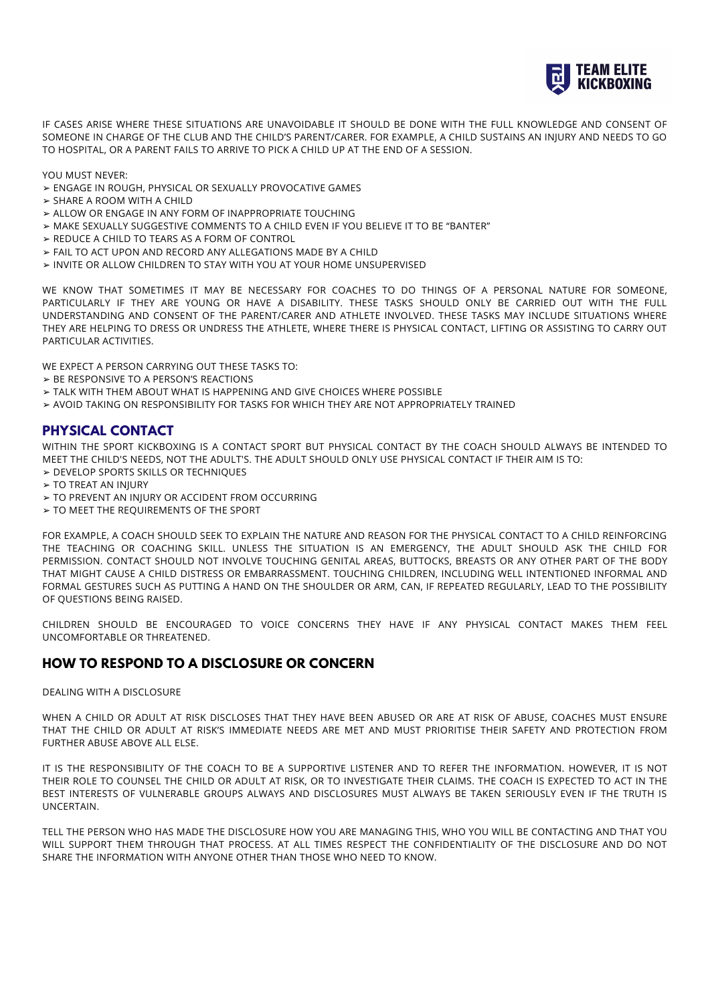

IF CASES ARISE WHERE THESE SITUATIONS ARE UNAVOIDABLE IT SHOULD BE DONE WITH THE FULL KNOWLEDGE AND CONSENT OF SOMEONE IN CHARGE OF THE CLUB AND THE CHILD'S PARENT/CARER. FOR EXAMPLE, A CHILD SUSTAINS AN INJURY AND NEEDS TO GO TO HOSPITAL, OR A PARENT FAILS TO ARRIVE TO PICK A CHILD UP AT THE END OF A SESSION.

YOU MUST NEVER:

- ➢ ENGAGE IN ROUGH, PHYSICAL OR SEXUALLY PROVOCATIVE GAMES
- ➢ SHARE A ROOM WITH A CHILD
- ➢ ALLOW OR ENGAGE IN ANY FORM OF INAPPROPRIATE TOUCHING
- ➢ MAKE SEXUALLY SUGGESTIVE COMMENTS TO A CHILD EVEN IF YOU BELIEVE IT TO BE "BANTER"
- ➢ REDUCE A CHILD TO TEARS AS A FORM OF CONTROL
- ➢ FAIL TO ACT UPON AND RECORD ANY ALLEGATIONS MADE BY A CHILD
- ➢ INVITE OR ALLOW CHILDREN TO STAY WITH YOU AT YOUR HOME UNSUPERVISED

WE KNOW THAT SOMETIMES IT MAY BE NECESSARY FOR COACHES TO DO THINGS OF A PERSONAL NATURE FOR SOMEONE, PARTICULARLY IF THEY ARE YOUNG OR HAVE A DISABILITY. THESE TASKS SHOULD ONLY BE CARRIED OUT WITH THE FULL UNDERSTANDING AND CONSENT OF THE PARENT/CARER AND ATHLETE INVOLVED. THESE TASKS MAY INCLUDE SITUATIONS WHERE THEY ARE HELPING TO DRESS OR UNDRESS THE ATHLETE, WHERE THERE IS PHYSICAL CONTACT, LIFTING OR ASSISTING TO CARRY OUT PARTICULAR ACTIVITIES.

WE EXPECT A PERSON CARRYING OUT THESE TASKS TO:

- ➢ BE RESPONSIVE TO A PERSON'S REACTIONS
- ➢ TALK WITH THEM ABOUT WHAT IS HAPPENING AND GIVE CHOICES WHERE POSSIBLE
- ➢ AVOID TAKING ON RESPONSIBILITY FOR TASKS FOR WHICH THEY ARE NOT APPROPRIATELY TRAINED

# **PHYSICAL CONTACT**

WITHIN THE SPORT KICKBOXING IS A CONTACT SPORT BUT PHYSICAL CONTACT BY THE COACH SHOULD ALWAYS BE INTENDED TO MEET THE CHILD'S NEEDS, NOT THE ADULT'S. THE ADULT SHOULD ONLY USE PHYSICAL CONTACT IF THEIR AIM IS TO: ➢ DEVELOP SPORTS SKILLS OR TECHNIQUES

- ➢ TO TREAT AN INJURY
- ➢ TO PREVENT AN INJURY OR ACCIDENT FROM OCCURRING
- ➢ TO MEET THE REQUIREMENTS OF THE SPORT

FOR EXAMPLE, A COACH SHOULD SEEK TO EXPLAIN THE NATURE AND REASON FOR THE PHYSICAL CONTACT TO A CHILD REINFORCING THE TEACHING OR COACHING SKILL. UNLESS THE SITUATION IS AN EMERGENCY, THE ADULT SHOULD ASK THE CHILD FOR PERMISSION. CONTACT SHOULD NOT INVOLVE TOUCHING GENITAL AREAS, BUTTOCKS, BREASTS OR ANY OTHER PART OF THE BODY THAT MIGHT CAUSE A CHILD DISTRESS OR EMBARRASSMENT. TOUCHING CHILDREN, INCLUDING WELL INTENTIONED INFORMAL AND FORMAL GESTURES SUCH AS PUTTING A HAND ON THE SHOULDER OR ARM, CAN, IF REPEATED REGULARLY, LEAD TO THE POSSIBILITY OF QUESTIONS BEING RAISED.

CHILDREN SHOULD BE ENCOURAGED TO VOICE CONCERNS THEY HAVE IF ANY PHYSICAL CONTACT MAKES THEM FEEL UNCOMFORTABLE OR THREATENED.

# **HOW TO RESPOND TO A DISCLOSURE OR CONCERN**

#### DEALING WITH A DISCLOSURE

WHEN A CHILD OR ADULT AT RISK DISCLOSES THAT THEY HAVE BEEN ABUSED OR ARE AT RISK OF ABUSE, COACHES MUST ENSURE THAT THE CHILD OR ADULT AT RISK'S IMMEDIATE NEEDS ARE MET AND MUST PRIORITISE THEIR SAFETY AND PROTECTION FROM FURTHER ABUSE ABOVE ALL ELSE.

IT IS THE RESPONSIBILITY OF THE COACH TO BE A SUPPORTIVE LISTENER AND TO REFER THE INFORMATION. HOWEVER, IT IS NOT THEIR ROLE TO COUNSEL THE CHILD OR ADULT AT RISK, OR TO INVESTIGATE THEIR CLAIMS. THE COACH IS EXPECTED TO ACT IN THE BEST INTERESTS OF VULNERABLE GROUPS ALWAYS AND DISCLOSURES MUST ALWAYS BE TAKEN SERIOUSLY EVEN IF THE TRUTH IS UNCERTAIN.

TELL THE PERSON WHO HAS MADE THE DISCLOSURE HOW YOU ARE MANAGING THIS, WHO YOU WILL BE CONTACTING AND THAT YOU WILL SUPPORT THEM THROUGH THAT PROCESS. AT ALL TIMES RESPECT THE CONFIDENTIALITY OF THE DISCLOSURE AND DO NOT SHARE THE INFORMATION WITH ANYONE OTHER THAN THOSE WHO NEED TO KNOW.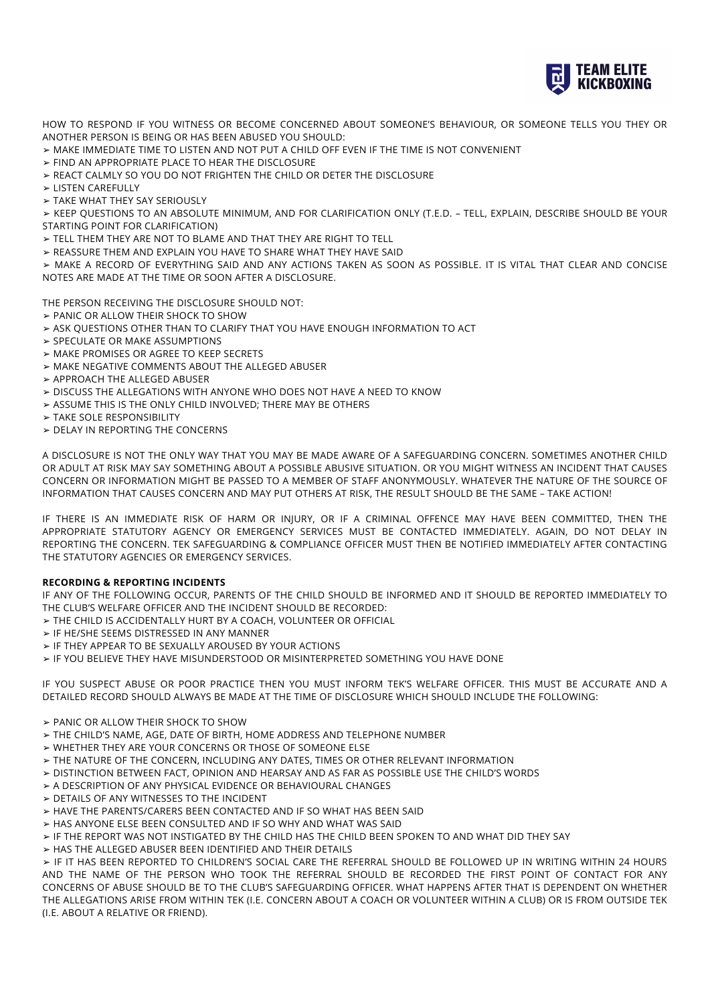

HOW TO RESPOND IF YOU WITNESS OR BECOME CONCERNED ABOUT SOMEONE'S BEHAVIOUR, OR SOMEONE TELLS YOU THEY OR ANOTHER PERSON IS BEING OR HAS BEEN ABUSED YOU SHOULD:

- ➢ MAKE IMMEDIATE TIME TO LISTEN AND NOT PUT A CHILD OFF EVEN IF THE TIME IS NOT CONVENIENT
- ➢ FIND AN APPROPRIATE PLACE TO HEAR THE DISCLOSURE
- ➢ REACT CALMLY SO YOU DO NOT FRIGHTEN THE CHILD OR DETER THE DISCLOSURE
- ➢ LISTEN CAREFULLY

➢ TAKE WHAT THEY SAY SERIOUSLY

➢ KEEP QUESTIONS TO AN ABSOLUTE MINIMUM, AND FOR CLARIFICATION ONLY (T.E.D. – TELL, EXPLAIN, DESCRIBE SHOULD BE YOUR STARTING POINT FOR CLARIFICATION)

- ➢ TELL THEM THEY ARE NOT TO BLAME AND THAT THEY ARE RIGHT TO TELL
- ➢ REASSURE THEM AND EXPLAIN YOU HAVE TO SHARE WHAT THEY HAVE SAID

➢ MAKE A RECORD OF EVERYTHING SAID AND ANY ACTIONS TAKEN AS SOON AS POSSIBLE. IT IS VITAL THAT CLEAR AND CONCISE NOTES ARE MADE AT THE TIME OR SOON AFTER A DISCLOSURE.

THE PERSON RECEIVING THE DISCLOSURE SHOULD NOT:

- ➢ PANIC OR ALLOW THEIR SHOCK TO SHOW
- ➢ ASK QUESTIONS OTHER THAN TO CLARIFY THAT YOU HAVE ENOUGH INFORMATION TO ACT
- ➢ SPECULATE OR MAKE ASSUMPTIONS
- ➢ MAKE PROMISES OR AGREE TO KEEP SECRETS
- ➢ MAKE NEGATIVE COMMENTS ABOUT THE ALLEGED ABUSER
- ➢ APPROACH THE ALLEGED ABUSER
- ➢ DISCUSS THE ALLEGATIONS WITH ANYONE WHO DOES NOT HAVE A NEED TO KNOW
- ➢ ASSUME THIS IS THE ONLY CHILD INVOLVED; THERE MAY BE OTHERS
- ➢ TAKE SOLE RESPONSIBILITY
- ➢ DELAY IN REPORTING THE CONCERNS

A DISCLOSURE IS NOT THE ONLY WAY THAT YOU MAY BE MADE AWARE OF A SAFEGUARDING CONCERN. SOMETIMES ANOTHER CHILD OR ADULT AT RISK MAY SAY SOMETHING ABOUT A POSSIBLE ABUSIVE SITUATION. OR YOU MIGHT WITNESS AN INCIDENT THAT CAUSES CONCERN OR INFORMATION MIGHT BE PASSED TO A MEMBER OF STAFF ANONYMOUSLY. WHATEVER THE NATURE OF THE SOURCE OF INFORMATION THAT CAUSES CONCERN AND MAY PUT OTHERS AT RISK, THE RESULT SHOULD BE THE SAME – TAKE ACTION!

IF THERE IS AN IMMEDIATE RISK OF HARM OR INJURY, OR IF A CRIMINAL OFFENCE MAY HAVE BEEN COMMITTED, THEN THE APPROPRIATE STATUTORY AGENCY OR EMERGENCY SERVICES MUST BE CONTACTED IMMEDIATELY. AGAIN, DO NOT DELAY IN REPORTING THE CONCERN. TEK SAFEGUARDING & COMPLIANCE OFFICER MUST THEN BE NOTIFIED IMMEDIATELY AFTER CONTACTING THE STATUTORY AGENCIES OR EMERGENCY SERVICES.

#### **RECORDING & REPORTING INCIDENTS**

IF ANY OF THE FOLLOWING OCCUR, PARENTS OF THE CHILD SHOULD BE INFORMED AND IT SHOULD BE REPORTED IMMEDIATELY TO THE CLUB'S WELFARE OFFICER AND THE INCIDENT SHOULD BE RECORDED:

➢ THE CHILD IS ACCIDENTALLY HURT BY A COACH, VOLUNTEER OR OFFICIAL

- ➢ IF HE/SHE SEEMS DISTRESSED IN ANY MANNER
- ➢ IF THEY APPEAR TO BE SEXUALLY AROUSED BY YOUR ACTIONS

➢ IF YOU BELIEVE THEY HAVE MISUNDERSTOOD OR MISINTERPRETED SOMETHING YOU HAVE DONE

IF YOU SUSPECT ABUSE OR POOR PRACTICE THEN YOU MUST INFORM TEK'S WELFARE OFFICER. THIS MUST BE ACCURATE AND A DETAILED RECORD SHOULD ALWAYS BE MADE AT THE TIME OF DISCLOSURE WHICH SHOULD INCLUDE THE FOLLOWING:

- ➢ PANIC OR ALLOW THEIR SHOCK TO SHOW
- ➢ THE CHILD'S NAME, AGE, DATE OF BIRTH, HOME ADDRESS AND TELEPHONE NUMBER
- ➢ WHETHER THEY ARE YOUR CONCERNS OR THOSE OF SOMEONE ELSE
- ➢ THE NATURE OF THE CONCERN, INCLUDING ANY DATES, TIMES OR OTHER RELEVANT INFORMATION
- ➢ DISTINCTION BETWEEN FACT, OPINION AND HEARSAY AND AS FAR AS POSSIBLE USE THE CHILD'S WORDS
- ➢ A DESCRIPTION OF ANY PHYSICAL EVIDENCE OR BEHAVIOURAL CHANGES
- ➢ DETAILS OF ANY WITNESSES TO THE INCIDENT
- ➢ HAVE THE PARENTS/CARERS BEEN CONTACTED AND IF SO WHAT HAS BEEN SAID
- ➢ HAS ANYONE ELSE BEEN CONSULTED AND IF SO WHY AND WHAT WAS SAID
- ➢ IF THE REPORT WAS NOT INSTIGATED BY THE CHILD HAS THE CHILD BEEN SPOKEN TO AND WHAT DID THEY SAY
- ➢ HAS THE ALLEGED ABUSER BEEN IDENTIFIED AND THEIR DETAILS

➢ IF IT HAS BEEN REPORTED TO CHILDREN'S SOCIAL CARE THE REFERRAL SHOULD BE FOLLOWED UP IN WRITING WITHIN 24 HOURS AND THE NAME OF THE PERSON WHO TOOK THE REFERRAL SHOULD BE RECORDED THE FIRST POINT OF CONTACT FOR ANY CONCERNS OF ABUSE SHOULD BE TO THE CLUB'S SAFEGUARDING OFFICER. WHAT HAPPENS AFTER THAT IS DEPENDENT ON WHETHER THE ALLEGATIONS ARISE FROM WITHIN TEK (I.E. CONCERN ABOUT A COACH OR VOLUNTEER WITHIN A CLUB) OR IS FROM OUTSIDE TEK (I.E. ABOUT A RELATIVE OR FRIEND).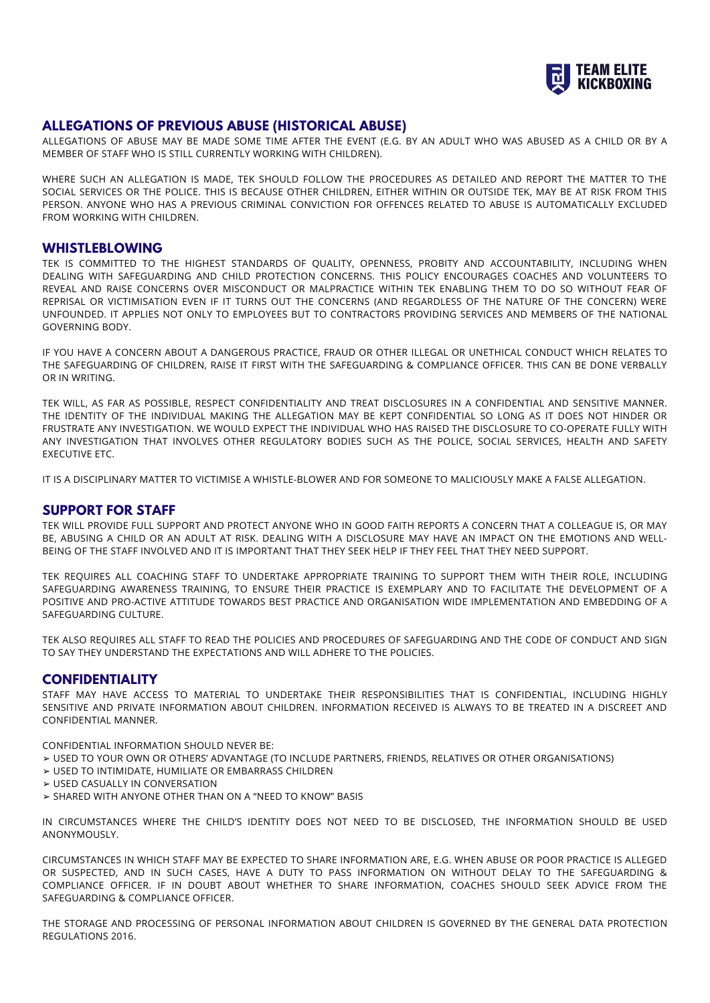

# **ALLEGATIONS OF PREVIOUS ABUSE (HISTORICAL ABUSE)**

ALLEGATIONS OF ABUSE MAY BE MADE SOME TIME AFTER THE EVENT (E.G. BY AN ADULT WHO WAS ABUSED AS A CHILD OR BY A MEMBER OF STAFF WHO IS STILL CURRENTLY WORKING WITH CHILDREN).

WHERE SUCH AN ALLEGATION IS MADE, TEK SHOULD FOLLOW THE PROCEDURES AS DETAILED AND REPORT THE MATTER TO THE SOCIAL SERVICES OR THE POLICE. THIS IS BECAUSE OTHER CHILDREN, EITHER WITHIN OR OUTSIDE TEK, MAY BE AT RISK FROM THIS PERSON. ANYONE WHO HAS A PREVIOUS CRIMINAL CONVICTION FOR OFFENCES RELATED TO ABUSE IS AUTOMATICALLY EXCLUDED FROM WORKING WITH CHILDREN.

### **WHISTLEBLOWING**

TEK IS COMMITTED TO THE HIGHEST STANDARDS OF QUALITY, OPENNESS, PROBITY AND ACCOUNTABILITY, INCLUDING WHEN DEALING WITH SAFEGUARDING AND CHILD PROTECTION CONCERNS. THIS POLICY ENCOURAGES COACHES AND VOLUNTEERS TO REVEAL AND RAISE CONCERNS OVER MISCONDUCT OR MALPRACTICE WITHIN TEK ENABLING THEM TO DO SO WITHOUT FEAR OF REPRISAL OR VICTIMISATION EVEN IF IT TURNS OUT THE CONCERNS (AND REGARDLESS OF THE NATURE OF THE CONCERN) WERE UNFOUNDED. IT APPLIES NOT ONLY TO EMPLOYEES BUT TO CONTRACTORS PROVIDING SERVICES AND MEMBERS OF THE NATIONAL GOVERNING BODY.

IF YOU HAVE A CONCERN ABOUT A DANGEROUS PRACTICE, FRAUD OR OTHER ILLEGAL OR UNETHICAL CONDUCT WHICH RELATES TO THE SAFEGUARDING OF CHILDREN, RAISE IT FIRST WITH THE SAFEGUARDING & COMPLIANCE OFFICER. THIS CAN BE DONE VERBALLY OR IN WRITING.

TEK WILL, AS FAR AS POSSIBLE, RESPECT CONFIDENTIALITY AND TREAT DISCLOSURES IN A CONFIDENTIAL AND SENSITIVE MANNER. THE IDENTITY OF THE INDIVIDUAL MAKING THE ALLEGATION MAY BE KEPT CONFIDENTIAL SO LONG AS IT DOES NOT HINDER OR FRUSTRATE ANY INVESTIGATION. WE WOULD EXPECT THE INDIVIDUAL WHO HAS RAISED THE DISCLOSURE TO CO-OPERATE FULLY WITH ANY INVESTIGATION THAT INVOLVES OTHER REGULATORY BODIES SUCH AS THE POLICE, SOCIAL SERVICES, HEALTH AND SAFETY EXECUTIVE ETC.

IT IS A DISCIPLINARY MATTER TO VICTIMISE A WHISTLE-BLOWER AND FOR SOMEONE TO MALICIOUSLY MAKE A FALSE ALLEGATION.

# **SUPPORT FOR STAFF**

TEK WILL PROVIDE FULL SUPPORT AND PROTECT ANYONE WHO IN GOOD FAITH REPORTS A CONCERN THAT A COLLEAGUE IS, OR MAY BE, ABUSING A CHILD OR AN ADULT AT RISK. DEALING WITH A DISCLOSURE MAY HAVE AN IMPACT ON THE EMOTIONS AND WELL-BEING OF THE STAFF INVOLVED AND IT IS IMPORTANT THAT THEY SEEK HELP IF THEY FEEL THAT THEY NEED SUPPORT.

TEK REQUIRES ALL COACHING STAFF TO UNDERTAKE APPROPRIATE TRAINING TO SUPPORT THEM WITH THEIR ROLE, INCLUDING SAFEGUARDING AWARENESS TRAINING, TO ENSURE THEIR PRACTICE IS EXEMPLARY AND TO FACILITATE THE DEVELOPMENT OF A POSITIVE AND PRO-ACTIVE ATTITUDE TOWARDS BEST PRACTICE AND ORGANISATION WIDE IMPLEMENTATION AND EMBEDDING OF A SAFEGUARDING CULTURE.

TEK ALSO REQUIRES ALL STAFF TO READ THE POLICIES AND PROCEDURES OF SAFEGUARDING AND THE CODE OF CONDUCT AND SIGN TO SAY THEY UNDERSTAND THE EXPECTATIONS AND WILL ADHERE TO THE POLICIES.

## **CONFIDENTIALITY**

STAFF MAY HAVE ACCESS TO MATERIAL TO UNDERTAKE THEIR RESPONSIBILITIES THAT IS CONFIDENTIAL, INCLUDING HIGHLY SENSITIVE AND PRIVATE INFORMATION ABOUT CHILDREN. INFORMATION RECEIVED IS ALWAYS TO BE TREATED IN A DISCREET AND CONFIDENTIAL MANNER.

CONFIDENTIAL INFORMATION SHOULD NEVER BE:

- ➢ USED TO YOUR OWN OR OTHERS' ADVANTAGE (TO INCLUDE PARTNERS, FRIENDS, RELATIVES OR OTHER ORGANISATIONS)
- ➢ USED TO INTIMIDATE, HUMILIATE OR EMBARRASS CHILDREN
- ➢ USED CASUALLY IN CONVERSATION
- ➢ SHARED WITH ANYONE OTHER THAN ON A "NEED TO KNOW" BASIS

IN CIRCUMSTANCES WHERE THE CHILD'S IDENTITY DOES NOT NEED TO BE DISCLOSED, THE INFORMATION SHOULD BE USED ANONYMOUSLY.

CIRCUMSTANCES IN WHICH STAFF MAY BE EXPECTED TO SHARE INFORMATION ARE, E.G. WHEN ABUSE OR POOR PRACTICE IS ALLEGED OR SUSPECTED, AND IN SUCH CASES, HAVE A DUTY TO PASS INFORMATION ON WITHOUT DELAY TO THE SAFEGUARDING & COMPLIANCE OFFICER. IF IN DOUBT ABOUT WHETHER TO SHARE INFORMATION, COACHES SHOULD SEEK ADVICE FROM THE SAFEGUARDING & COMPLIANCE OFFICER.

THE STORAGE AND PROCESSING OF PERSONAL INFORMATION ABOUT CHILDREN IS GOVERNED BY THE GENERAL DATA PROTECTION REGULATIONS 2016.